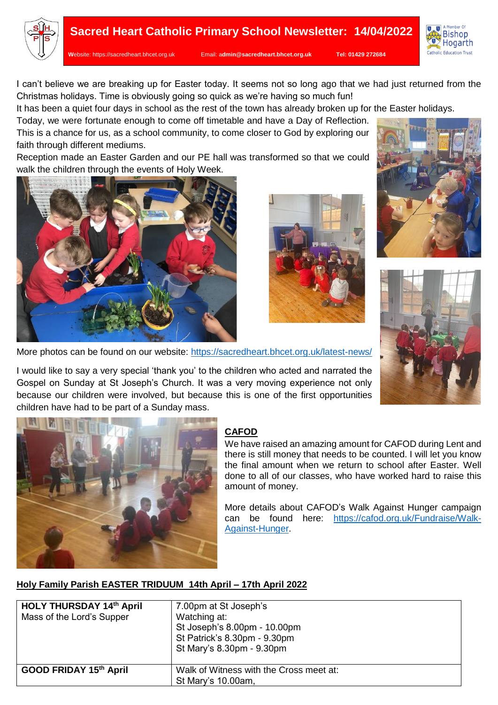



**W**ebsite: [https://sacredheart.bhcet.org.uk](https://sacredheart.bhcet.org.uk/) Email: a**[dmin@sacredheart.bhcet.org.uk](mailto:admin@sacredheart.bhcet.org.uk) Tel: 01429 272684**



I can't believe we are breaking up for Easter today. It seems not so long ago that we had just returned from the Christmas holidays. Time is obviously going so quick as we're having so much fun!

It has been a quiet four days in school as the rest of the town has already broken up for the Easter holidays.

Today, we were fortunate enough to come off timetable and have a Day of Reflection. This is a chance for us, as a school community, to come closer to God by exploring our faith through different mediums.

Reception made an Easter Garden and our PE hall was transformed so that we could walk the children through the events of Holy Week.









More photos can be found on our website:<https://sacredheart.bhcet.org.uk/latest-news/>

I would like to say a very special 'thank you' to the children who acted and narrated the Gospel on Sunday at St Joseph's Church. It was a very moving experience not only because our children were involved, but because this is one of the first opportunities children have had to be part of a Sunday mass.



### **CAFOD**

We have raised an amazing amount for CAFOD during Lent and there is still money that needs to be counted. I will let you know the final amount when we return to school after Easter. Well done to all of our classes, who have worked hard to raise this amount of money.

More details about CAFOD's Walk Against Hunger campaign can be found here: [https://cafod.org.uk/Fundraise/Walk-](https://cafod.org.uk/Fundraise/Walk-Against-Hunger)[Against-Hunger.](https://cafod.org.uk/Fundraise/Walk-Against-Hunger)

# **Holy Family Parish EASTER TRIDUUM 14th April – 17th April 2022**

| <b>HOLY THURSDAY 14th April</b><br>Mass of the Lord's Supper | 7.00pm at St Joseph's<br>Watching at:<br>St Joseph's 8.00pm - 10.00pm<br>St Patrick's 8.30pm - 9.30pm<br>St Mary's 8.30pm - 9.30pm |
|--------------------------------------------------------------|------------------------------------------------------------------------------------------------------------------------------------|
| GOOD FRIDAY 15th April                                       | Walk of Witness with the Cross meet at:<br>St Mary's 10.00am,                                                                      |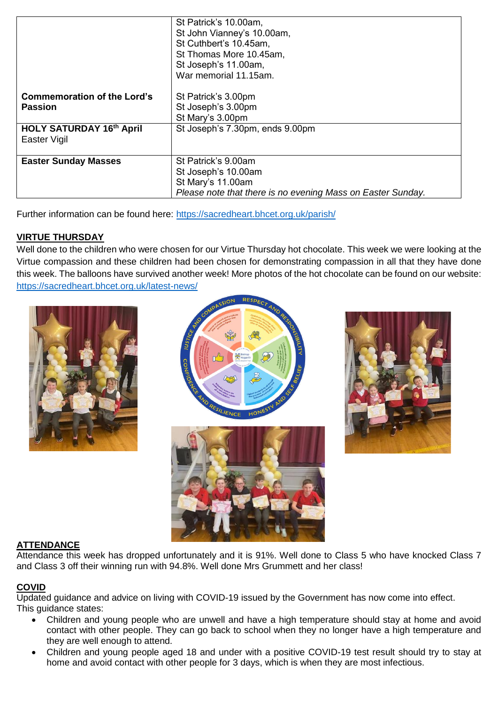|                                                      | St Patrick's 10.00am,<br>St John Vianney's 10.00am,<br>St Cuthbert's 10.45am,<br>St Thomas More 10.45am,<br>St Joseph's 11.00am,<br>War memorial 11.15am. |
|------------------------------------------------------|-----------------------------------------------------------------------------------------------------------------------------------------------------------|
| <b>Commemoration of the Lord's</b><br><b>Passion</b> | St Patrick's 3.00pm<br>St Joseph's 3.00pm<br>St Mary's 3.00pm                                                                                             |
| <b>HOLY SATURDAY 16th April</b><br>Easter Vigil      | St Joseph's 7.30pm, ends 9.00pm                                                                                                                           |
| <b>Easter Sunday Masses</b>                          | St Patrick's 9.00am<br>St Joseph's 10.00am<br>St Mary's 11.00am<br>Please note that there is no evening Mass on Easter Sunday.                            |

Further information can be found here:<https://sacredheart.bhcet.org.uk/parish/>

# **VIRTUE THURSDAY**

Well done to the children who were chosen for our Virtue Thursday hot chocolate. This week we were looking at the Virtue compassion and these children had been chosen for demonstrating compassion in all that they have done this week. The balloons have survived another week! More photos of the hot chocolate can be found on our website: <https://sacredheart.bhcet.org.uk/latest-news/>







### **ATTENDANCE**

Attendance this week has dropped unfortunately and it is 91%. Well done to Class 5 who have knocked Class 7 and Class 3 off their winning run with 94.8%. Well done Mrs Grummett and her class!

# **COVID**

Updated guidance and advice on living with COVID-19 issued by the Government has now come into effect. This guidance states:

- Children and young people who are unwell and have a high temperature should stay at home and avoid contact with other people. They can go back to school when they no longer have a high temperature and they are well enough to attend.
- Children and young people aged 18 and under with a positive COVID-19 test result should try to stay at home and avoid contact with other people for 3 days, which is when they are most infectious.